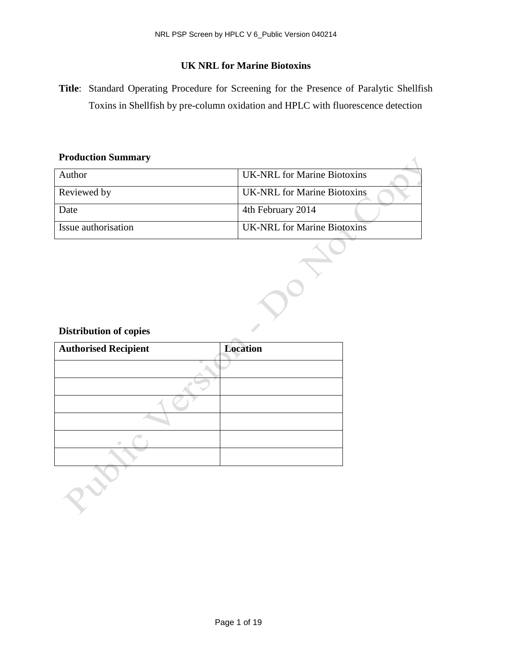# **UK NRL for Marine Biotoxins**

**Title**: Standard Operating Procedure for Screening for the Presence of Paralytic Shellfish Toxins in Shellfish by pre-column oxidation and HPLC with fluorescence detection

 $\overline{\wedge}$ 

#### **Production Summary**

| Author              | <b>UK-NRL</b> for Marine Biotoxins |
|---------------------|------------------------------------|
| Reviewed by         | <b>UK-NRL</b> for Marine Biotoxins |
| Date                | 4th February 2014                  |
| Issue authorisation | <b>UK-NRL</b> for Marine Biotoxins |

DON

# **Distribution of copies**

ort

| <b>Authorised Recipient</b> | <b>Location</b> |  |
|-----------------------------|-----------------|--|
|                             |                 |  |
|                             |                 |  |
|                             |                 |  |
|                             |                 |  |
|                             |                 |  |
|                             |                 |  |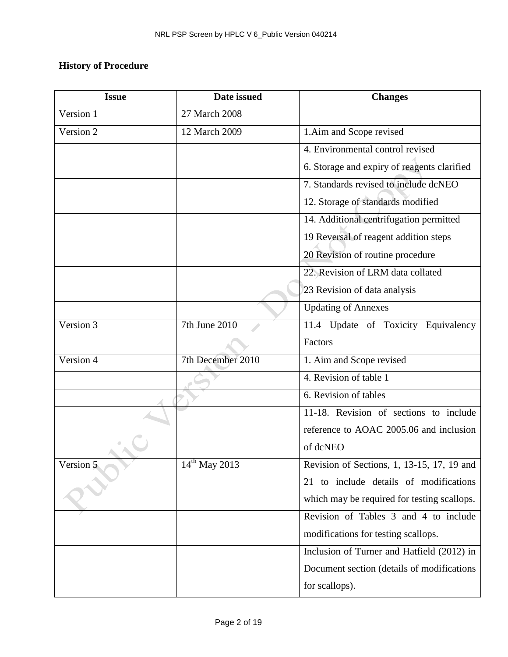# **History of Procedure**

| <b>Issue</b> | Date issued               | <b>Changes</b>                              |
|--------------|---------------------------|---------------------------------------------|
| Version 1    | 27 March 2008             |                                             |
| Version 2    | 12 March 2009             | 1. Aim and Scope revised                    |
|              |                           | 4. Environmental control revised            |
|              |                           | 6. Storage and expiry of reagents clarified |
|              |                           | 7. Standards revised to include dcNEO       |
|              |                           | 12. Storage of standards modified           |
|              |                           | 14. Additional centrifugation permitted     |
|              |                           | 19 Reversal of reagent addition steps       |
|              |                           | 20 Revision of routine procedure            |
|              |                           | 22. Revision of LRM data collated           |
|              |                           | 23 Revision of data analysis                |
|              |                           | <b>Updating of Annexes</b>                  |
| Version 3    | 7th June 2010             | 11.4 Update of Toxicity Equivalency         |
|              |                           | Factors                                     |
| Version 4    | 7th December 2010         | 1. Aim and Scope revised                    |
|              |                           | 4. Revision of table 1                      |
|              |                           | 6. Revision of tables                       |
|              |                           | 11-18. Revision of sections to include      |
|              |                           | reference to AOAC 2005.06 and inclusion     |
|              |                           | of dcNEO                                    |
| Version 5    | $14^{\text{th}}$ May 2013 | Revision of Sections, 1, 13-15, 17, 19 and  |
|              |                           | 21 to include details of modifications      |
|              |                           | which may be required for testing scallops. |
|              |                           | Revision of Tables 3 and 4 to include       |
|              |                           | modifications for testing scallops.         |
|              |                           | Inclusion of Turner and Hatfield (2012) in  |
|              |                           | Document section (details of modifications  |
|              |                           | for scallops).                              |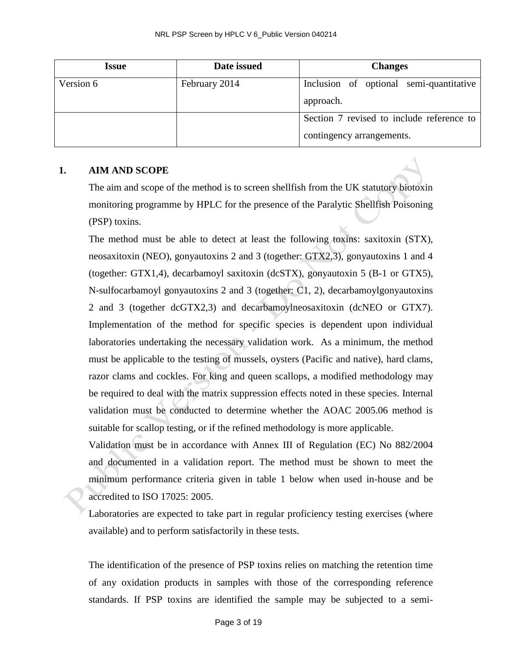| Issue     | Date issued   | <b>Changes</b>                            |
|-----------|---------------|-------------------------------------------|
| Version 6 | February 2014 | Inclusion of optional semi-quantitative   |
|           |               | approach.                                 |
|           |               | Section 7 revised to include reference to |
|           |               | contingency arrangements.                 |

#### **1. AIM AND SCOPE**

The aim and scope of the method is to screen shellfish from the UK statutory biotoxin monitoring programme by HPLC for the presence of the Paralytic Shellfish Poisoning (PSP) toxins.

The method must be able to detect at least the following toxins: saxitoxin (STX), neosaxitoxin (NEO), gonyautoxins 2 and 3 (together: GTX2,3), gonyautoxins 1 and 4 (together: GTX1,4), decarbamoyl saxitoxin (dcSTX), gonyautoxin 5 (B-1 or GTX5), N-sulfocarbamoyl gonyautoxins 2 and 3 (together: C1, 2), decarbamoylgonyautoxins 2 and 3 (together dcGTX2,3) and decarbamoylneosaxitoxin (dcNEO or GTX7). Implementation of the method for specific species is dependent upon individual laboratories undertaking the necessary validation work. As a minimum, the method must be applicable to the testing of mussels, oysters (Pacific and native), hard clams, razor clams and cockles. For king and queen scallops, a modified methodology may be required to deal with the matrix suppression effects noted in these species. Internal validation must be conducted to determine whether the AOAC 2005.06 method is suitable for scallop testing, or if the refined methodology is more applicable.

Validation must be in accordance with Annex III of Regulation (EC) No 882/2004 and documented in a validation report. The method must be shown to meet the minimum performance criteria given in table 1 below when used in-house and be accredited to ISO 17025: 2005.

Laboratories are expected to take part in regular proficiency testing exercises (where available) and to perform satisfactorily in these tests.

The identification of the presence of PSP toxins relies on matching the retention time of any oxidation products in samples with those of the corresponding reference standards. If PSP toxins are identified the sample may be subjected to a semi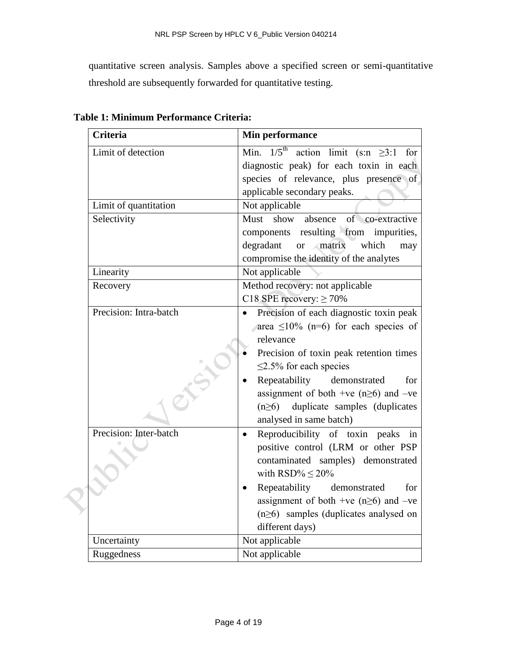quantitative screen analysis. Samples above a specified screen or semi-quantitative threshold are subsequently forwarded for quantitative testing.

| <b>Criteria</b>        | Min performance                                         |  |
|------------------------|---------------------------------------------------------|--|
| Limit of detection     | Min. $1/5^{\text{th}}$ action limit (s:n $\geq 3:1$ for |  |
|                        | diagnostic peak) for each toxin in each                 |  |
|                        | species of relevance, plus presence of                  |  |
|                        | applicable secondary peaks.                             |  |
| Limit of quantitation  | Not applicable                                          |  |
| Selectivity            | of co-extractive<br>Must<br>show absence                |  |
|                        | components resulting from impurities,                   |  |
|                        | or matrix<br>which<br>degradant<br>may                  |  |
|                        | compromise the identity of the analytes                 |  |
| Linearity              | Not applicable                                          |  |
| Recovery               | Method recovery: not applicable                         |  |
|                        | C18 SPE recovery: $\geq 70\%$                           |  |
| Precision: Intra-batch | Precision of each diagnostic toxin peak<br>$\bullet$    |  |
|                        | area $\leq 10\%$ (n=6) for each species of              |  |
|                        | relevance                                               |  |
|                        | Precision of toxin peak retention times                 |  |
|                        | $\leq$ 2.5% for each species                            |  |
|                        | Repeatability demonstrated<br>for                       |  |
|                        | assignment of both +ve ( $n\geq 6$ ) and -ve            |  |
|                        | duplicate samples (duplicates<br>$(n\geq 6)$            |  |
|                        | analysed in same batch)                                 |  |
| Precision: Inter-batch | Reproducibility of toxin peaks in<br>$\bullet$          |  |
|                        | positive control (LRM or other PSP                      |  |
|                        | contaminated samples) demonstrated                      |  |
|                        | with RSD% $\leq$ 20%                                    |  |
|                        | Repeatability demonstrated<br>for                       |  |
|                        | assignment of both +ve ( $n\geq 6$ ) and -ve            |  |
|                        | $(n\geq 6)$ samples (duplicates analysed on             |  |
|                        | different days)                                         |  |
| Uncertainty            | Not applicable                                          |  |
| Ruggedness             | Not applicable                                          |  |

**Table 1: Minimum Performance Criteria:**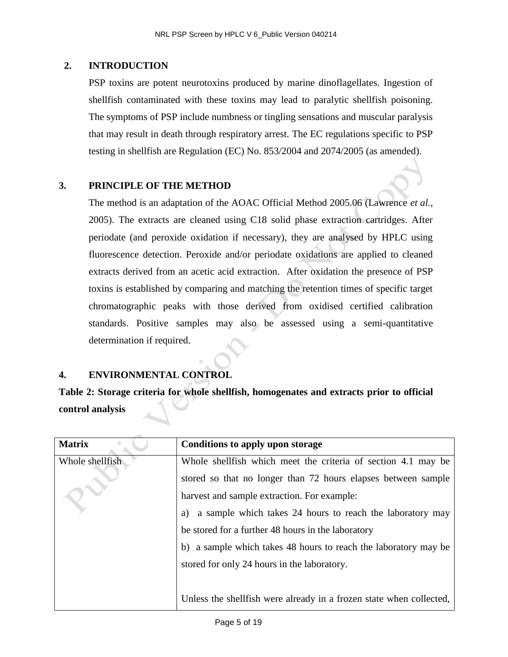#### **2. INTRODUCTION**

PSP toxins are potent neurotoxins produced by marine dinoflagellates. Ingestion of shellfish contaminated with these toxins may lead to paralytic shellfish poisoning. The symptoms of PSP include numbness or tingling sensations and muscular paralysis that may result in death through respiratory arrest. The EC regulations specific to PSP testing in shellfish are Regulation (EC) No. 853/2004 and 2074/2005 (as amended).

#### **3. PRINCIPLE OF THE METHOD**

The method is an adaptation of the AOAC Official Method 2005.06 (Lawrence *et al.,* 2005). The extracts are cleaned using C18 solid phase extraction cartridges. After periodate (and peroxide oxidation if necessary), they are analysed by HPLC using fluorescence detection. Peroxide and/or periodate oxidations are applied to cleaned extracts derived from an acetic acid extraction. After oxidation the presence of PSP toxins is established by comparing and matching the retention times of specific target chromatographic peaks with those derived from oxidised certified calibration standards. Positive samples may also be assessed using a semi-quantitative determination if required.

## **4. ENVIRONMENTAL CONTROL**

**Table 2: Storage criteria for whole shellfish, homogenates and extracts prior to official control analysis**

| <b>Matrix</b>   | Conditions to apply upon storage                                     |  |
|-----------------|----------------------------------------------------------------------|--|
| Whole shellfish | Whole shell fish which meet the criteria of section 4.1 may be       |  |
|                 | stored so that no longer than 72 hours elapses between sample        |  |
|                 | harvest and sample extraction. For example:                          |  |
|                 | a sample which takes 24 hours to reach the laboratory may<br>a)      |  |
|                 | be stored for a further 48 hours in the laboratory                   |  |
|                 | b) a sample which takes 48 hours to reach the laboratory may be      |  |
|                 | stored for only 24 hours in the laboratory.                          |  |
|                 |                                                                      |  |
|                 | Unless the shell fish were already in a frozen state when collected, |  |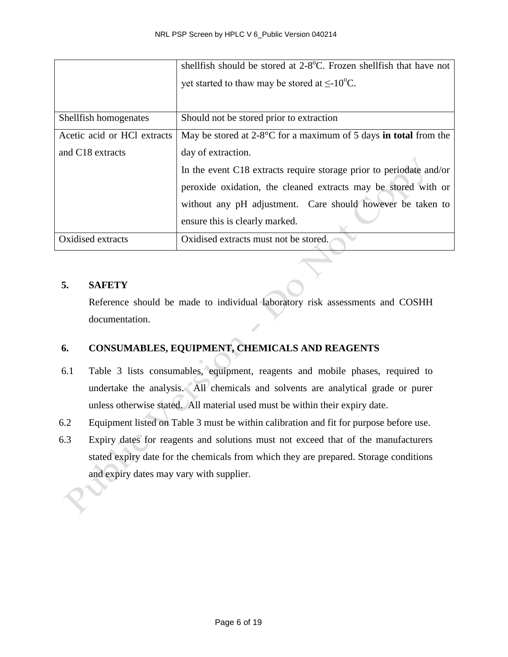|                              | shellfish should be stored at 2-8 <sup>o</sup> C. Frozen shellfish that have not |
|------------------------------|----------------------------------------------------------------------------------|
|                              | yet started to thaw may be stored at $\leq$ -10 <sup>o</sup> C.                  |
|                              |                                                                                  |
| Shellfish homogenates        | Should not be stored prior to extraction                                         |
| Acetic acid or HCl extracts  | May be stored at $2-8$ °C for a maximum of 5 days in total from the              |
| and C <sub>18</sub> extracts | day of extraction.                                                               |
|                              | In the event C18 extracts require storage prior to periodate and/or              |
|                              | peroxide oxidation, the cleaned extracts may be stored with or                   |
|                              | without any pH adjustment. Care should however be taken to                       |
|                              | ensure this is clearly marked.                                                   |
| Oxidised extracts            | Oxidised extracts must not be stored.                                            |

#### **5. SAFETY**

Reference should be made to individual laboratory risk assessments and COSHH documentation.

# **6. CONSUMABLES, EQUIPMENT, CHEMICALS AND REAGENTS**

- 6.1 Table 3 lists consumables, equipment, reagents and mobile phases, required to undertake the analysis. All chemicals and solvents are analytical grade or purer unless otherwise stated. All material used must be within their expiry date.
- 6.2 Equipment listed on Table 3 must be within calibration and fit for purpose before use.
- 6.3 Expiry dates for reagents and solutions must not exceed that of the manufacturers stated expiry date for the chemicals from which they are prepared. Storage conditions and expiry dates may vary with supplier.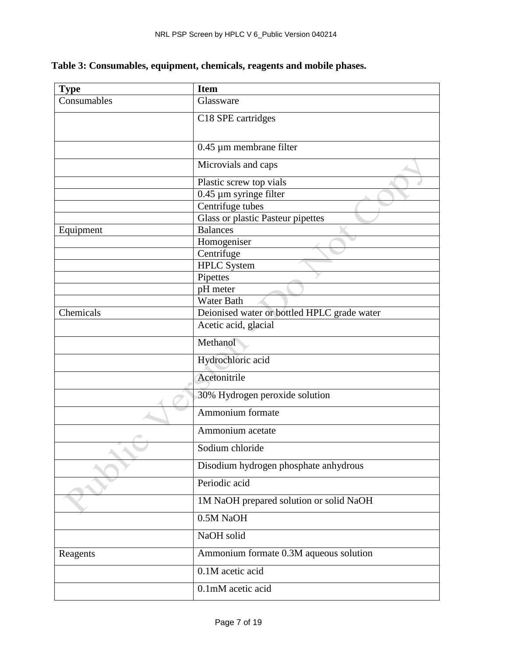| <b>Type</b> | <b>Item</b>                                 |  |
|-------------|---------------------------------------------|--|
| Consumables | Glassware                                   |  |
|             | C18 SPE cartridges                          |  |
|             |                                             |  |
|             | 0.45 µm membrane filter                     |  |
|             | Microvials and caps                         |  |
|             | Plastic screw top vials                     |  |
|             | $0.45 \mu m$ syringe filter                 |  |
|             | Centrifuge tubes                            |  |
|             | Glass or plastic Pasteur pipettes           |  |
| Equipment   | <b>Balances</b>                             |  |
|             | Homogeniser                                 |  |
|             | Centrifuge                                  |  |
|             | <b>HPLC</b> System                          |  |
|             | Pipettes                                    |  |
|             | pH meter                                    |  |
|             | Water Bath                                  |  |
| Chemicals   | Deionised water or bottled HPLC grade water |  |
|             | Acetic acid, glacial                        |  |
|             | Methanol                                    |  |
|             | Hydrochloric acid                           |  |
|             | Acetonitrile                                |  |
|             | 30% Hydrogen peroxide solution              |  |
|             | Ammonium formate                            |  |
|             | Ammonium acetate                            |  |
|             | Sodium chloride                             |  |
|             | Disodium hydrogen phosphate anhydrous       |  |
|             | Periodic acid                               |  |
|             | 1M NaOH prepared solution or solid NaOH     |  |
|             | 0.5M NaOH                                   |  |
|             | NaOH solid                                  |  |
| Reagents    | Ammonium formate 0.3M aqueous solution      |  |
|             | 0.1M acetic acid                            |  |
|             | 0.1mM acetic acid                           |  |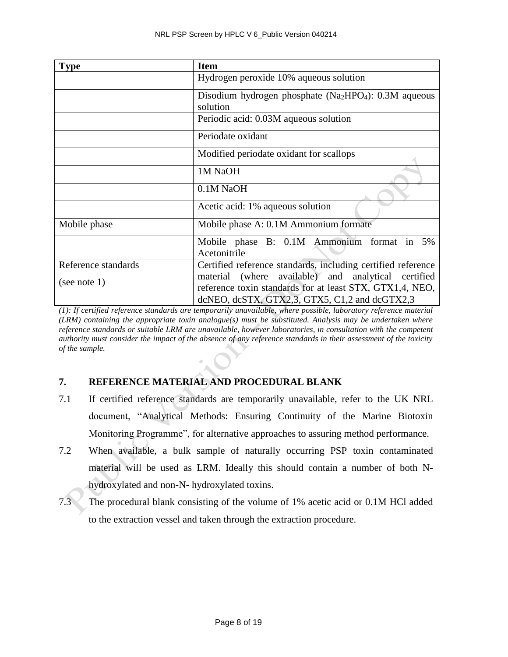| <b>Type</b>                         | <b>Item</b>                                                                                                                                                                                                                      |  |  |
|-------------------------------------|----------------------------------------------------------------------------------------------------------------------------------------------------------------------------------------------------------------------------------|--|--|
|                                     | Hydrogen peroxide 10% aqueous solution                                                                                                                                                                                           |  |  |
|                                     | Disodium hydrogen phosphate $(Na_2HPO_4)$ : 0.3M aqueous<br>solution                                                                                                                                                             |  |  |
|                                     | Periodic acid: 0.03M aqueous solution                                                                                                                                                                                            |  |  |
|                                     | Periodate oxidant                                                                                                                                                                                                                |  |  |
|                                     | Modified periodate oxidant for scallops                                                                                                                                                                                          |  |  |
|                                     | 1M NaOH<br>0.1M NaOH                                                                                                                                                                                                             |  |  |
|                                     |                                                                                                                                                                                                                                  |  |  |
|                                     | Acetic acid: 1% aqueous solution                                                                                                                                                                                                 |  |  |
| Mobile phase                        | Mobile phase A: 0.1M Ammonium formate                                                                                                                                                                                            |  |  |
|                                     | Mobile phase B: 0.1M Ammonium format in 5%<br>Acetonitrile                                                                                                                                                                       |  |  |
| Reference standards<br>(see note 1) | Certified reference standards, including certified reference<br>material (where available) and analytical certified<br>reference toxin standards for at least STX, GTX1,4, NEO,<br>dcNEO, dcSTX, GTX2,3, GTX5, C1,2 and dcGTX2,3 |  |  |

*(1): If certified reference standards are temporarily unavailable, where possible, laboratory reference material (LRM) containing the appropriate toxin analogue(s) must be substituted. Analysis may be undertaken where reference standards or suitable LRM are unavailable, however laboratories, in consultation with the competent authority must consider the impact of the absence of any reference standards in their assessment of the toxicity of the sample.* 

# **7. REFERENCE MATERIAL AND PROCEDURAL BLANK**

- 7.1 If certified reference standards are temporarily unavailable, refer to the UK NRL document, "Analytical Methods: Ensuring Continuity of the Marine Biotoxin Monitoring Programme", for alternative approaches to assuring method performance.
- 7.2 When available, a bulk sample of naturally occurring PSP toxin contaminated material will be used as LRM. Ideally this should contain a number of both Nhydroxylated and non-N- hydroxylated toxins.
- 7.3 The procedural blank consisting of the volume of 1% acetic acid or 0.1M HCl added to the extraction vessel and taken through the extraction procedure.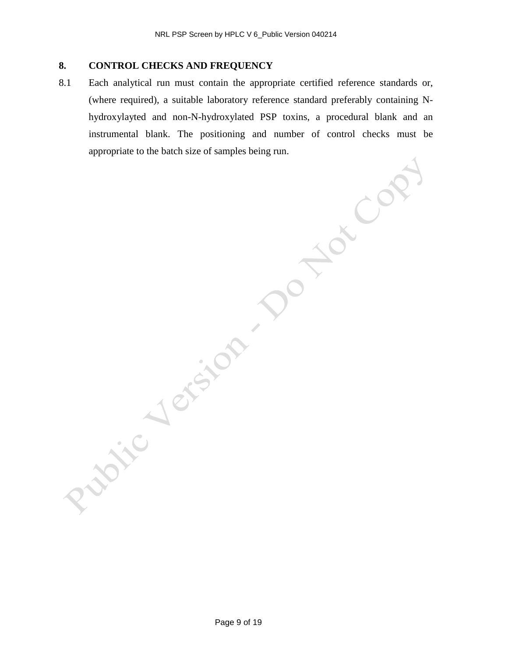# **8. CONTROL CHECKS AND FREQUENCY**

8.1 Each analytical run must contain the appropriate certified reference standards or, (where required), a suitable laboratory reference standard preferably containing Nhydroxylayted and non-N-hydroxylated PSP toxins, a procedural blank and an instrumental blank. The positioning and number of control checks must be appropriate to the batch size of samples being run.

Page 9 of 19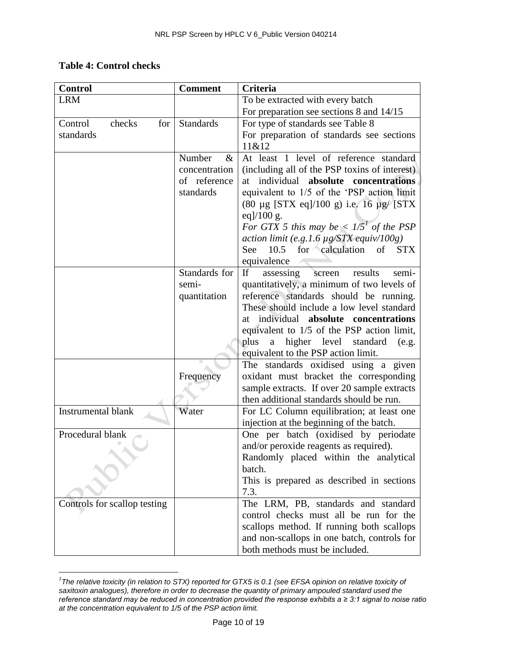# **Table 4: Control checks**

| <b>Control</b>               | <b>Comment</b>   | Criteria                                       |
|------------------------------|------------------|------------------------------------------------|
| <b>LRM</b>                   |                  | To be extracted with every batch               |
|                              |                  | For preparation see sections 8 and 14/15       |
| Control<br>checks<br>for     | <b>Standards</b> | For type of standards see Table 8              |
| standards                    |                  | For preparation of standards see sections      |
|                              |                  | 11&12                                          |
|                              | Number<br>&      | At least 1 level of reference standard         |
|                              | concentration    | (including all of the PSP toxins of interest)  |
|                              | of reference     | individual absolute concentrations<br>at       |
|                              | standards        | equivalent to 1/5 of the 'PSP action limit     |
|                              |                  | (80 μg [STX eq]/100 g) i.e. 16 μg/ [STX        |
|                              |                  | eq $]/100$ g.                                  |
|                              |                  | For GTX 5 this may be $\lt 1/5^1$ of the PSP   |
|                              |                  | action limit (e.g.1.6 $\mu$ g/STX equiv/100g)  |
|                              |                  | 10.5 for calculation of<br><b>STX</b><br>See   |
|                              |                  | equivalence                                    |
|                              | Standards for    | If<br>results<br>assessing<br>semi-<br>screen  |
|                              | semi-            | quantitatively, a minimum of two levels of     |
|                              | quantitation     | reference standards should be running.         |
|                              |                  | These should include a low level standard      |
|                              |                  | individual absolute concentrations<br>at       |
|                              |                  | equivalent to 1/5 of the PSP action limit,     |
|                              |                  | plus<br>higher level<br>a<br>standard<br>(e.g. |
|                              |                  | equivalent to the PSP action limit.            |
|                              |                  | The standards oxidised using a given           |
|                              | Frequency        | oxidant must bracket the corresponding         |
|                              |                  | sample extracts. If over 20 sample extracts    |
|                              |                  | then additional standards should be run.       |
| <b>Instrumental blank</b>    | Water            | For LC Column equilibration; at least one      |
|                              |                  | injection at the beginning of the batch.       |
| Procedural blank             |                  | One per batch (oxidised by periodate           |
|                              |                  | and/or peroxide reagents as required).         |
|                              |                  | Randomly placed within the analytical          |
|                              |                  | batch.                                         |
|                              |                  | This is prepared as described in sections      |
|                              |                  | 7.3.                                           |
| Controls for scallop testing |                  | The LRM, PB, standards and standard            |
|                              |                  | control checks must all be run for the         |
|                              |                  | scallops method. If running both scallops      |
|                              |                  | and non-scallops in one batch, controls for    |
|                              |                  | both methods must be included.                 |

 *1 The relative toxicity (in relation to STX) reported for GTX5 is 0.1 (see EFSA opinion on relative toxicity of saxitoxin analogues), therefore in order to decrease the quantity of primary ampouled standard used the reference standard may be reduced in concentration provided the response exhibits a ≥ 3:1 signal to noise ratio at the concentration equivalent to 1/5 of the PSP action limit.*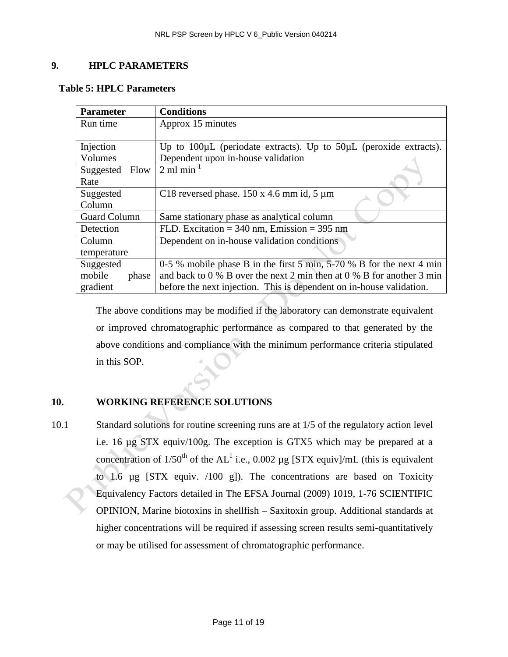#### **9. HPLC PARAMETERS**

| <b>Parameter</b>    | <b>Conditions</b>                                                           |  |  |  |
|---------------------|-----------------------------------------------------------------------------|--|--|--|
| Run time            | Approx 15 minutes                                                           |  |  |  |
|                     |                                                                             |  |  |  |
| Injection           | Up to $100\mu$ L (periodate extracts). Up to $50\mu$ L (peroxide extracts). |  |  |  |
| Volumes             | Dependent upon in-house validation                                          |  |  |  |
| Flow<br>Suggested   | $2 \text{ ml min}^{-1}$                                                     |  |  |  |
| Rate                |                                                                             |  |  |  |
| Suggested           | C18 reversed phase. $150 \times 4.6$ mm id, 5 $\mu$ m                       |  |  |  |
| Column              |                                                                             |  |  |  |
| <b>Guard Column</b> | Same stationary phase as analytical column                                  |  |  |  |
| Detection           | FLD. Excitation = $340 \text{ nm}$ , Emission = $395 \text{ nm}$            |  |  |  |
| Column              | Dependent on in-house validation conditions                                 |  |  |  |
| temperature         |                                                                             |  |  |  |
| Suggested           | 0-5 % mobile phase B in the first 5 min, $5-70$ % B for the next 4 min      |  |  |  |
| mobile<br>phase     | and back to $0\%$ B over the next 2 min then at $0\%$ B for another 3 min   |  |  |  |
| gradient            | before the next injection. This is dependent on in-house validation.        |  |  |  |

The above conditions may be modified if the laboratory can demonstrate equivalent or improved chromatographic performance as compared to that generated by the above conditions and compliance with the minimum performance criteria stipulated in this SOP.

# **10. WORKING REFERENCE SOLUTIONS**

10.1 Standard solutions for routine screening runs are at 1/5 of the regulatory action level i.e. 16 µg STX equiv/100g. The exception is GTX5 which may be prepared at a concentration of 1/50<sup>th</sup> of the AL<sup>1</sup> i.e., 0.002 µg [STX equiv]/mL (this is equivalent to 1.6 µg [STX equiv. /100 g]). The concentrations are based on Toxicity Equivalency Factors detailed in The EFSA Journal (2009) 1019, 1-76 SCIENTIFIC OPINION, Marine biotoxins in shellfish – Saxitoxin group. Additional standards at higher concentrations will be required if assessing screen results semi-quantitatively or may be utilised for assessment of chromatographic performance.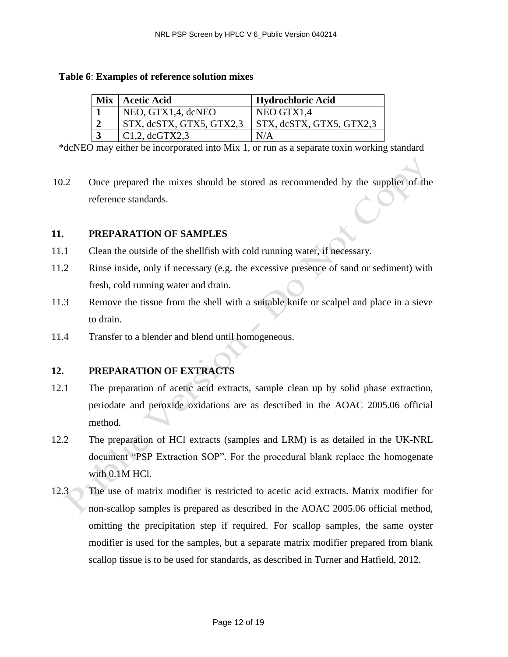#### **Table 6**: **Examples of reference solution mixes**

| <b>Mix   Acetic Acid</b>         | <b>Hydrochloric Acid</b>         |
|----------------------------------|----------------------------------|
| NEO, GTX1,4, dcNEO               | NEO GTX1.4                       |
| $\vert$ STX, dcSTX, GTX5, GTX2,3 | $\vert$ STX, dcSTX, GTX5, GTX2,3 |
| $\vert$ C1,2, dcGTX2,3           | N/A                              |

\*dcNEO may either be incorporated into Mix 1, or run as a separate toxin working standard

10.2 Once prepared the mixes should be stored as recommended by the supplier of the reference standards.

#### **11. PREPARATION OF SAMPLES**

- 11.1 Clean the outside of the shellfish with cold running water, if necessary.
- 11.2 Rinse inside, only if necessary (e.g. the excessive presence of sand or sediment) with fresh, cold running water and drain.
- 11.3 Remove the tissue from the shell with a suitable knife or scalpel and place in a sieve to drain.
- 11.4 Transfer to a blender and blend until homogeneous.

## **12. PREPARATION OF EXTRACTS**

- 12.1 The preparation of acetic acid extracts, sample clean up by solid phase extraction, periodate and peroxide oxidations are as described in the AOAC 2005.06 official method.
- 12.2 The preparation of HCl extracts (samples and LRM) is as detailed in the UK-NRL document "PSP Extraction SOP". For the procedural blank replace the homogenate with 0.1M HCl.
- 12.3 The use of matrix modifier is restricted to acetic acid extracts. Matrix modifier for non-scallop samples is prepared as described in the AOAC 2005.06 official method, omitting the precipitation step if required. For scallop samples, the same oyster modifier is used for the samples, but a separate matrix modifier prepared from blank scallop tissue is to be used for standards, as described in Turner and Hatfield, 2012.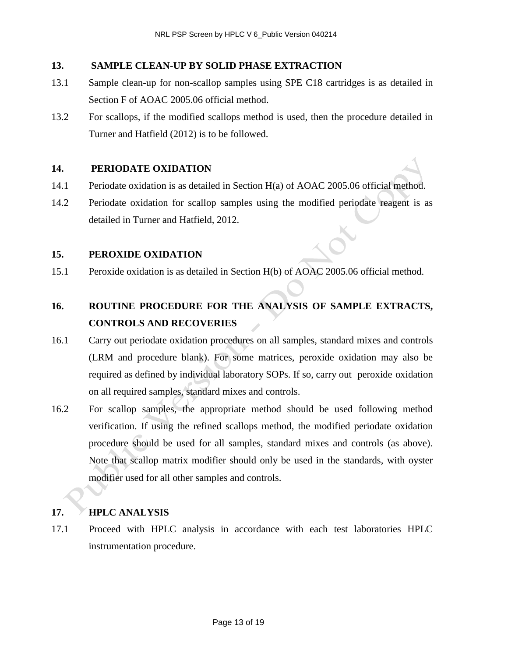## **13. SAMPLE CLEAN-UP BY SOLID PHASE EXTRACTION**

- 13.1 Sample clean-up for non-scallop samples using SPE C18 cartridges is as detailed in Section F of AOAC 2005.06 official method.
- 13.2 For scallops, if the modified scallops method is used, then the procedure detailed in Turner and Hatfield (2012) is to be followed.

#### **14. PERIODATE OXIDATION**

- 14.1 Periodate oxidation is as detailed in Section H(a) of AOAC 2005.06 official method.
- 14.2 Periodate oxidation for scallop samples using the modified periodate reagent is as detailed in Turner and Hatfield, 2012.

#### **15. PEROXIDE OXIDATION**

15.1 Peroxide oxidation is as detailed in Section H(b) of AOAC 2005.06 official method.

# **16. ROUTINE PROCEDURE FOR THE ANALYSIS OF SAMPLE EXTRACTS, CONTROLS AND RECOVERIES**

- 16.1 Carry out periodate oxidation procedures on all samples, standard mixes and controls (LRM and procedure blank). For some matrices, peroxide oxidation may also be required as defined by individual laboratory SOPs. If so, carry out peroxide oxidation on all required samples, standard mixes and controls.
- 16.2 For scallop samples, the appropriate method should be used following method verification. If using the refined scallops method, the modified periodate oxidation procedure should be used for all samples, standard mixes and controls (as above). Note that scallop matrix modifier should only be used in the standards, with oyster modifier used for all other samples and controls.

#### **17. HPLC ANALYSIS**

17.1 Proceed with HPLC analysis in accordance with each test laboratories HPLC instrumentation procedure.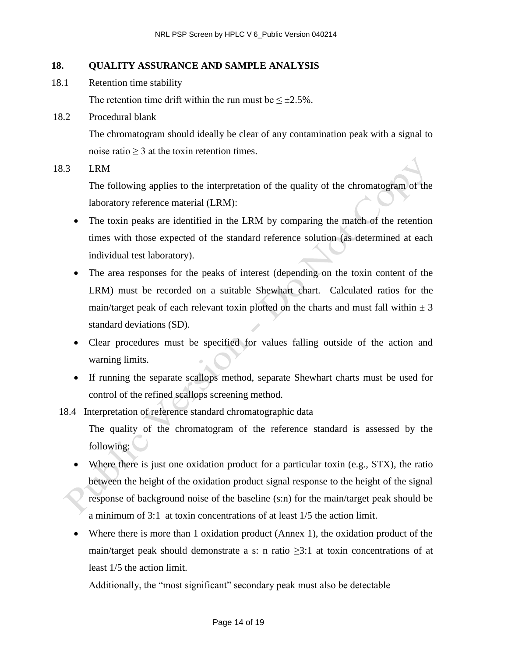#### **18. QUALITY ASSURANCE AND SAMPLE ANALYSIS**

18.1 Retention time stability

The retention time drift within the run must be  $\leq \pm 2.5\%$ .

18.2 Procedural blank

The chromatogram should ideally be clear of any contamination peak with a signal to noise ratio  $\geq 3$  at the toxin retention times.

18.3 LRM

The following applies to the interpretation of the quality of the chromatogram of the laboratory reference material (LRM):

- The toxin peaks are identified in the LRM by comparing the match of the retention times with those expected of the standard reference solution (as determined at each individual test laboratory).
- The area responses for the peaks of interest (depending on the toxin content of the LRM) must be recorded on a suitable Shewhart chart. Calculated ratios for the main/target peak of each relevant toxin plotted on the charts and must fall within  $\pm 3$ standard deviations (SD).
- Clear procedures must be specified for values falling outside of the action and warning limits.
- If running the separate scallops method, separate Shewhart charts must be used for control of the refined scallops screening method.

18.4 Interpretation of reference standard chromatographic data

The quality of the chromatogram of the reference standard is assessed by the following:

- Where there is just one oxidation product for a particular toxin (e.g., STX), the ratio between the height of the oxidation product signal response to the height of the signal response of background noise of the baseline (s:n) for the main/target peak should be a minimum of 3:1 at toxin concentrations of at least 1/5 the action limit.
- Where there is more than 1 oxidation product (Annex 1), the oxidation product of the main/target peak should demonstrate a s: n ratio  $\geq$ 3:1 at toxin concentrations of at least 1/5 the action limit.

Additionally, the "most significant" secondary peak must also be detectable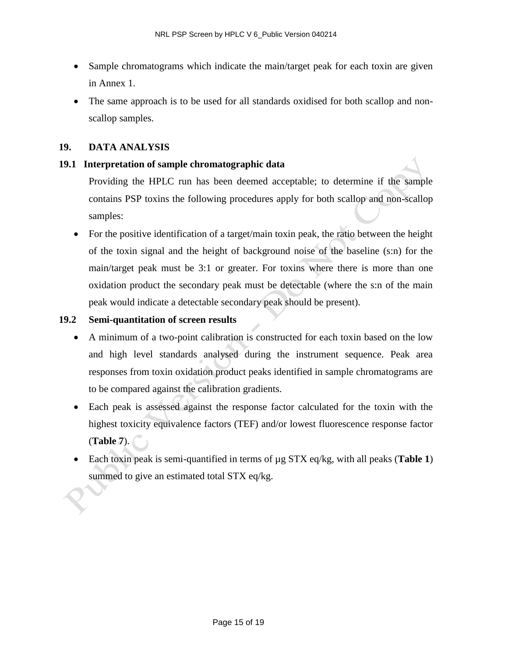- Sample chromatograms which indicate the main/target peak for each toxin are given in Annex 1.
- The same approach is to be used for all standards oxidised for both scallop and nonscallop samples.

#### **19. DATA ANALYSIS**

#### **19.1 Interpretation of sample chromatographic data**

Providing the HPLC run has been deemed acceptable; to determine if the sample contains PSP toxins the following procedures apply for both scallop and non-scallop samples:

 For the positive identification of a target/main toxin peak, the ratio between the height of the toxin signal and the height of background noise of the baseline (s:n) for the main/target peak must be 3:1 or greater. For toxins where there is more than one oxidation product the secondary peak must be detectable (where the s:n of the main peak would indicate a detectable secondary peak should be present).

#### **19.2 Semi-quantitation of screen results**

- A minimum of a two-point calibration is constructed for each toxin based on the low and high level standards analysed during the instrument sequence. Peak area responses from toxin oxidation product peaks identified in sample chromatograms are to be compared against the calibration gradients.
- Each peak is assessed against the response factor calculated for the toxin with the highest toxicity equivalence factors (TEF) and/or lowest fluorescence response factor (**Table 7**).
- Each toxin peak is semi-quantified in terms of µg STX eq/kg, with all peaks (**Table 1**) summed to give an estimated total STX eq/kg.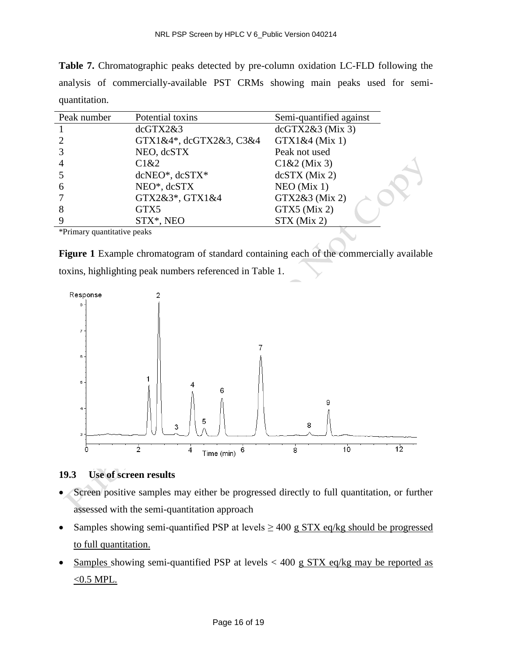**Table 7.** Chromatographic peaks detected by pre-column oxidation LC-FLD following the analysis of commercially-available PST CRMs showing main peaks used for semiquantitation.

| Peak number                 | Potential toxins        | Semi-quantified against |  |
|-----------------------------|-------------------------|-------------------------|--|
|                             | dcGTX2&3                | dcGTX2&3(Mix 3)         |  |
|                             | GTX1&4*, dcGTX2&3, C3&4 | GTX1&4 (Mix 1)          |  |
|                             | NEO, dcSTX              | Peak not used           |  |
|                             | C1&2                    | $C1&2$ (Mix 3)          |  |
|                             | dcNEO*, dcSTX*          | $dcSTX$ (Mix 2)         |  |
| 6                           | NEO*, dcSTX             | $NEO$ (Mix 1)           |  |
|                             | GTX2&3*, GTX1&4         | GTX2&3 (Mix 2)          |  |
|                             | GTX5                    | GTX5 (Mix 2)            |  |
|                             | STX*, NEO               | $STX$ (Mix 2)           |  |
| *Primary quantitative peaks |                         |                         |  |

**Figure 1** Example chromatogram of standard containing each of the commercially available toxins, highlighting peak numbers referenced in Table 1.



## **19.3 Use of screen results**

- Screen positive samples may either be progressed directly to full quantitation, or further assessed with the semi-quantitation approach
- Samples showing semi-quantified PSP at levels  $\geq 400$  g STX eq/kg should be progressed to full quantitation.
- Samples showing semi-quantified PSP at levels  $< 400 \text{ g STX}$  eq/kg may be reported as  $\leq$  0.5 MPL.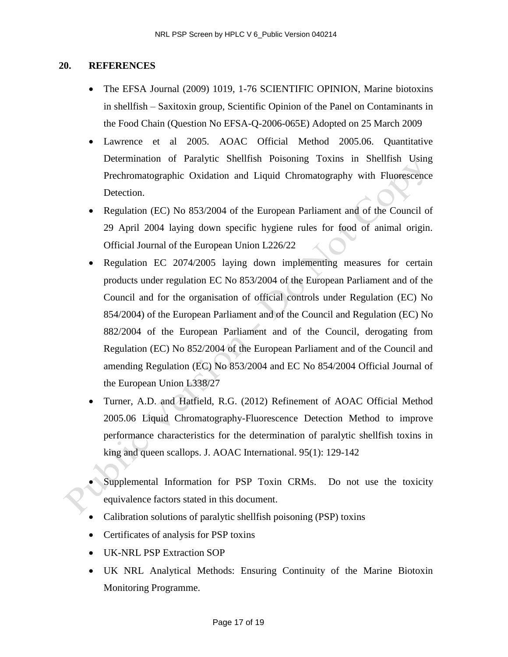#### **20. REFERENCES**

- The EFSA Journal (2009) 1019, 1-76 SCIENTIFIC OPINION, Marine biotoxins in shellfish – Saxitoxin group, Scientific Opinion of the Panel on Contaminants in the Food Chain (Question No EFSA-Q-2006-065E) Adopted on 25 March 2009
- Lawrence et al 2005. AOAC Official Method 2005.06. Quantitative Determination of Paralytic Shellfish Poisoning Toxins in Shellfish Using Prechromatographic Oxidation and Liquid Chromatography with Fluorescence Detection.
- Regulation (EC) No 853/2004 of the European Parliament and of the Council of 29 April 2004 laying down specific hygiene rules for food of animal origin. Official Journal of the European Union L226/22
- Regulation EC 2074/2005 laying down implementing measures for certain products under regulation EC No 853/2004 of the European Parliament and of the Council and for the organisation of official controls under Regulation (EC) No 854/2004) of the European Parliament and of the Council and Regulation (EC) No 882/2004 of the European Parliament and of the Council, derogating from Regulation (EC) No 852/2004 of the European Parliament and of the Council and amending Regulation (EC) No 853/2004 and EC No 854/2004 Official Journal of the European Union L338/27
- Turner, A.D. and Hatfield, R.G. (2012) Refinement of AOAC Official Method 2005.06 Liquid Chromatography-Fluorescence Detection Method to improve performance characteristics for the determination of paralytic shellfish toxins in king and queen scallops. J. AOAC International. 95(1): 129-142
- Supplemental Information for PSP Toxin CRMs. Do not use the toxicity equivalence factors stated in this document.
- Calibration solutions of paralytic shellfish poisoning (PSP) toxins
- Certificates of analysis for PSP toxins
- UK-NRL PSP Extraction SOP
- UK NRL Analytical Methods: Ensuring Continuity of the Marine Biotoxin Monitoring Programme.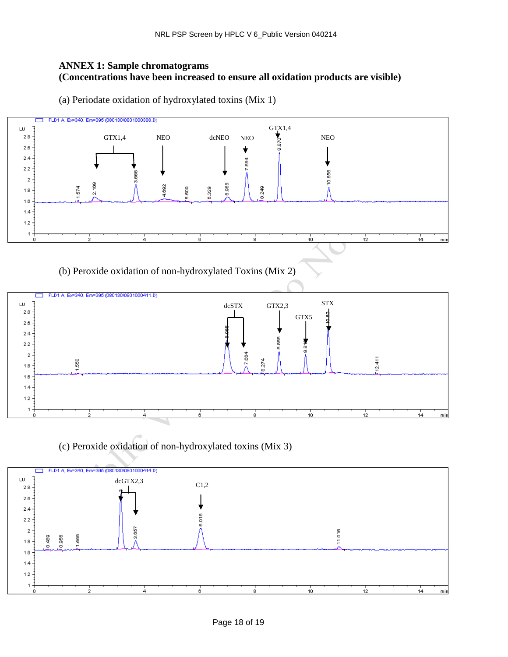#### **ANNEX 1: Sample chromatograms (Concentrations have been increased to ensure all oxidation products are visible)**

(a) Periodate oxidation of hydroxylated toxins (Mix 1)



(b) Peroxide oxidation of non-hydroxylated Toxins (Mix 2)



(c) Peroxide oxidation of non-hydroxylated toxins (Mix 3)